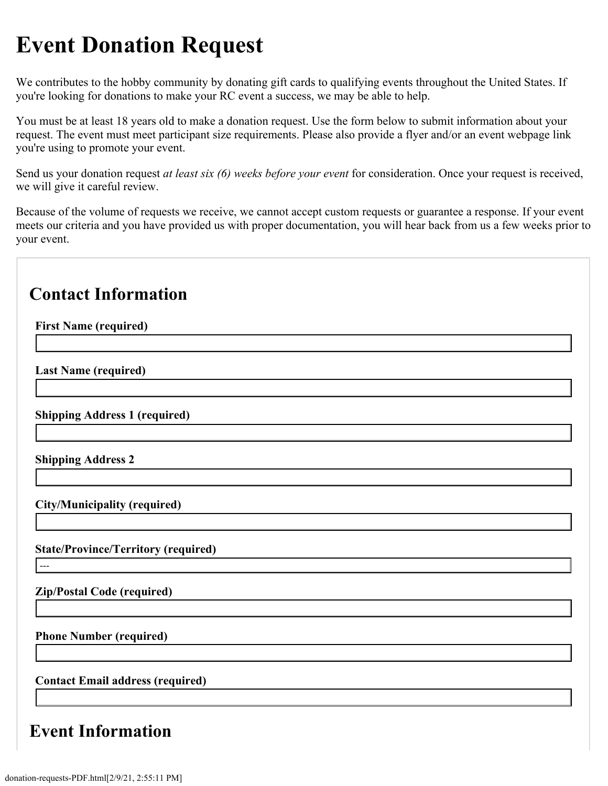## **Event Donation Request**

We contributes to the hobby community by donating gift cards to qualifying events throughout the United States. If you're looking for donations to make your RC event a success, we may be able to help.

You must be at least 18 years old to make a donation request. Use the form below to submit information about your request. The event must meet participant size requirements. Please also provide a flyer and/or an event webpage link you're using to promote your event.

Send us your donation request *at least six (6) weeks before your event* for consideration. Once your request is received, we will give it careful review.

Because of the volume of requests we receive, we cannot accept custom requests or guarantee a response. If your event meets our criteria and you have provided us with proper documentation, you will hear back from us a few weeks prior to your event.

## **Contact Information**

**Event Information**